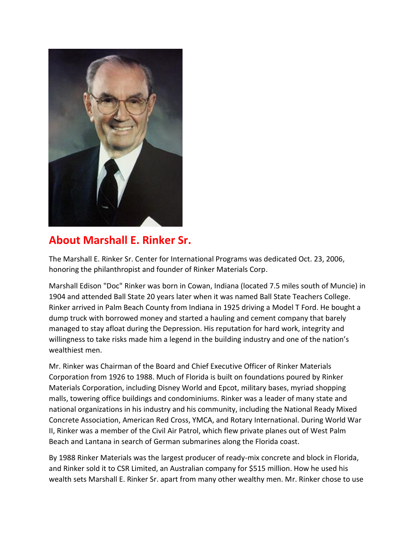

## **About Marshall E. Rinker Sr.**

The Marshall E. Rinker Sr. Center for International Programs was dedicated Oct. 23, 2006, honoring the philanthropist and founder of Rinker Materials Corp.

Marshall Edison "Doc" Rinker was born in Cowan, Indiana (located 7.5 miles south of Muncie) in 1904 and attended Ball State 20 years later when it was named Ball State Teachers College. Rinker arrived in Palm Beach County from Indiana in 1925 driving a Model T Ford. He bought a dump truck with borrowed money and started a hauling and cement company that barely managed to stay afloat during the Depression. His reputation for hard work, integrity and willingness to take risks made him a legend in the building industry and one of the nation's wealthiest men.

Mr. Rinker was Chairman of the Board and Chief Executive Officer of Rinker Materials Corporation from 1926 to 1988. Much of Florida is built on foundations poured by Rinker Materials Corporation, including Disney World and Epcot, military bases, myriad shopping malls, towering office buildings and condominiums. Rinker was a leader of many state and national organizations in his industry and his community, including the National Ready Mixed Concrete Association, American Red Cross, YMCA, and Rotary International. During World War II, Rinker was a member of the Civil Air Patrol, which flew private planes out of West Palm Beach and Lantana in search of German submarines along the Florida coast.

By 1988 Rinker Materials was the largest producer of ready-mix concrete and block in Florida, and Rinker sold it to CSR Limited, an Australian company for \$515 million. How he used his wealth sets Marshall E. Rinker Sr. apart from many other wealthy men. Mr. Rinker chose to use